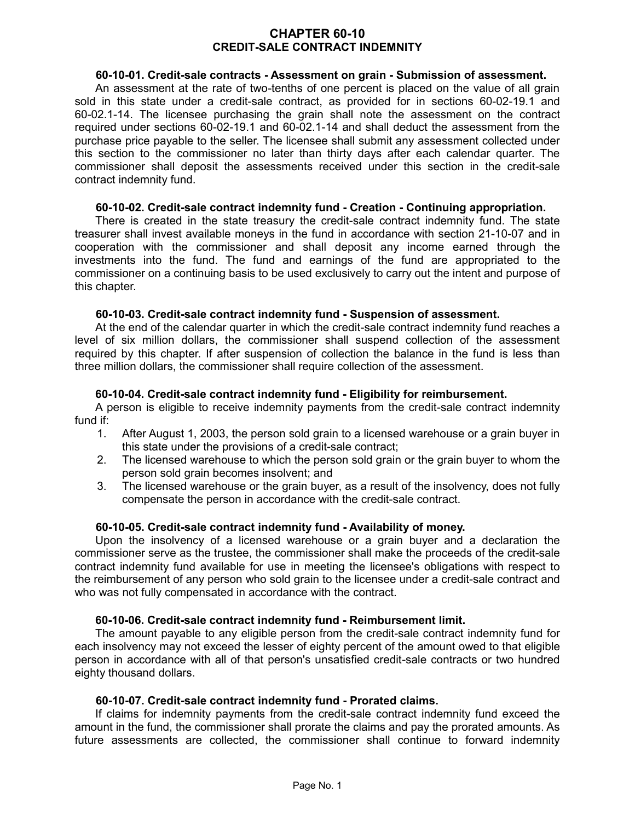# **CHAPTER 60-10 CREDIT-SALE CONTRACT INDEMNITY**

# **60-10-01. Credit-sale contracts - Assessment on grain - Submission of assessment.**

An assessment at the rate of two-tenths of one percent is placed on the value of all grain sold in this state under a credit-sale contract, as provided for in sections 60-02-19.1 and 60-02.1-14. The licensee purchasing the grain shall note the assessment on the contract required under sections 60-02-19.1 and 60-02.1-14 and shall deduct the assessment from the purchase price payable to the seller. The licensee shall submit any assessment collected under this section to the commissioner no later than thirty days after each calendar quarter. The commissioner shall deposit the assessments received under this section in the credit-sale contract indemnity fund.

# **60-10-02. Credit-sale contract indemnity fund - Creation - Continuing appropriation.**

There is created in the state treasury the credit-sale contract indemnity fund. The state treasurer shall invest available moneys in the fund in accordance with section 21-10-07 and in cooperation with the commissioner and shall deposit any income earned through the investments into the fund. The fund and earnings of the fund are appropriated to the commissioner on a continuing basis to be used exclusively to carry out the intent and purpose of this chapter.

# **60-10-03. Credit-sale contract indemnity fund - Suspension of assessment.**

At the end of the calendar quarter in which the credit-sale contract indemnity fund reaches a level of six million dollars, the commissioner shall suspend collection of the assessment required by this chapter. If after suspension of collection the balance in the fund is less than three million dollars, the commissioner shall require collection of the assessment.

# **60-10-04. Credit-sale contract indemnity fund - Eligibility for reimbursement.**

A person is eligible to receive indemnity payments from the credit-sale contract indemnity fund if:

- 1. After August 1, 2003, the person sold grain to a licensed warehouse or a grain buyer in this state under the provisions of a credit-sale contract;
- 2. The licensed warehouse to which the person sold grain or the grain buyer to whom the person sold grain becomes insolvent; and
- 3. The licensed warehouse or the grain buyer, as a result of the insolvency, does not fully compensate the person in accordance with the credit-sale contract.

# **60-10-05. Credit-sale contract indemnity fund - Availability of money.**

Upon the insolvency of a licensed warehouse or a grain buyer and a declaration the commissioner serve as the trustee, the commissioner shall make the proceeds of the credit-sale contract indemnity fund available for use in meeting the licensee's obligations with respect to the reimbursement of any person who sold grain to the licensee under a credit-sale contract and who was not fully compensated in accordance with the contract.

# **60-10-06. Credit-sale contract indemnity fund - Reimbursement limit.**

The amount payable to any eligible person from the credit-sale contract indemnity fund for each insolvency may not exceed the lesser of eighty percent of the amount owed to that eligible person in accordance with all of that person's unsatisfied credit-sale contracts or two hundred eighty thousand dollars.

# **60-10-07. Credit-sale contract indemnity fund - Prorated claims.**

If claims for indemnity payments from the credit-sale contract indemnity fund exceed the amount in the fund, the commissioner shall prorate the claims and pay the prorated amounts. As future assessments are collected, the commissioner shall continue to forward indemnity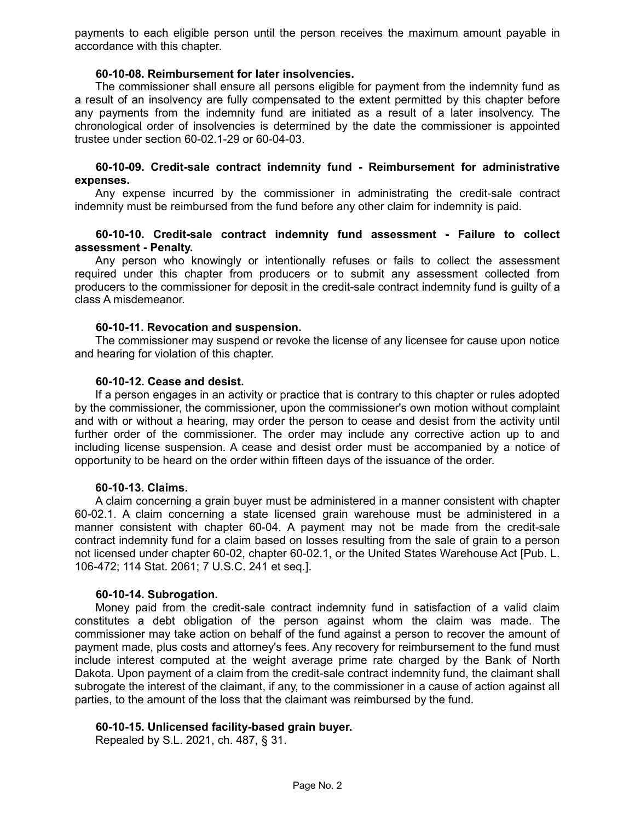payments to each eligible person until the person receives the maximum amount payable in accordance with this chapter.

## **60-10-08. Reimbursement for later insolvencies.**

The commissioner shall ensure all persons eligible for payment from the indemnity fund as a result of an insolvency are fully compensated to the extent permitted by this chapter before any payments from the indemnity fund are initiated as a result of a later insolvency. The chronological order of insolvencies is determined by the date the commissioner is appointed trustee under section 60-02.1-29 or 60-04-03.

### **60-10-09. Credit-sale contract indemnity fund - Reimbursement for administrative expenses.**

Any expense incurred by the commissioner in administrating the credit-sale contract indemnity must be reimbursed from the fund before any other claim for indemnity is paid.

# **60-10-10. Credit-sale contract indemnity fund assessment - Failure to collect assessment - Penalty.**

Any person who knowingly or intentionally refuses or fails to collect the assessment required under this chapter from producers or to submit any assessment collected from producers to the commissioner for deposit in the credit-sale contract indemnity fund is guilty of a class A misdemeanor.

# **60-10-11. Revocation and suspension.**

The commissioner may suspend or revoke the license of any licensee for cause upon notice and hearing for violation of this chapter.

#### **60-10-12. Cease and desist.**

If a person engages in an activity or practice that is contrary to this chapter or rules adopted by the commissioner, the commissioner, upon the commissioner's own motion without complaint and with or without a hearing, may order the person to cease and desist from the activity until further order of the commissioner. The order may include any corrective action up to and including license suspension. A cease and desist order must be accompanied by a notice of opportunity to be heard on the order within fifteen days of the issuance of the order.

#### **60-10-13. Claims.**

A claim concerning a grain buyer must be administered in a manner consistent with chapter 60-02.1. A claim concerning a state licensed grain warehouse must be administered in a manner consistent with chapter 60-04. A payment may not be made from the credit-sale contract indemnity fund for a claim based on losses resulting from the sale of grain to a person not licensed under chapter 60-02, chapter 60-02.1, or the United States Warehouse Act [Pub. L. 106-472; 114 Stat. 2061; 7 U.S.C. 241 et seq.].

# **60-10-14. Subrogation.**

Money paid from the credit-sale contract indemnity fund in satisfaction of a valid claim constitutes a debt obligation of the person against whom the claim was made. The commissioner may take action on behalf of the fund against a person to recover the amount of payment made, plus costs and attorney's fees. Any recovery for reimbursement to the fund must include interest computed at the weight average prime rate charged by the Bank of North Dakota. Upon payment of a claim from the credit-sale contract indemnity fund, the claimant shall subrogate the interest of the claimant, if any, to the commissioner in a cause of action against all parties, to the amount of the loss that the claimant was reimbursed by the fund.

# **60-10-15. Unlicensed facility-based grain buyer.**

Repealed by S.L. 2021, ch. 487, § 31.